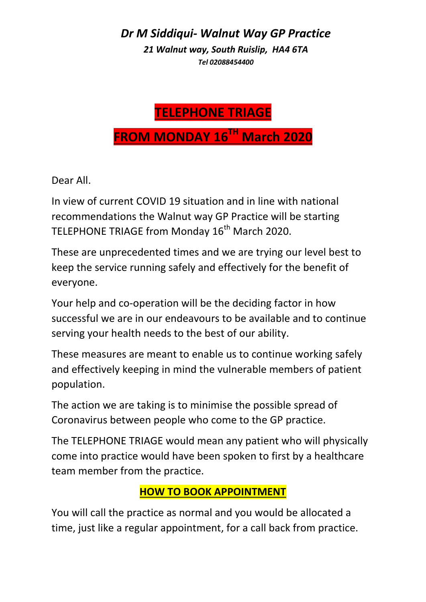*Dr M Siddiqui- Walnut Way GP Practice 21 Walnut way, South Ruislip, HA4 6TA Tel 02088454400*

## **TELEPHONE TRIAGE FROM MONDAY 16TH March 2020**

Dear All.

In view of current COVID 19 situation and in line with national recommendations the Walnut way GP Practice will be starting TELEPHONE TRIAGE from Monday 16<sup>th</sup> March 2020.

These are unprecedented times and we are trying our level best to keep the service running safely and effectively for the benefit of everyone.

Your help and co-operation will be the deciding factor in how successful we are in our endeavours to be available and to continue serving your health needs to the best of our ability.

These measures are meant to enable us to continue working safely and effectively keeping in mind the vulnerable members of patient population.

The action we are taking is to minimise the possible spread of Coronavirus between people who come to the GP practice.

The TELEPHONE TRIAGE would mean any patient who will physically come into practice would have been spoken to first by a healthcare team member from the practice.

## **HOW TO BOOK APPOINTMENT**

You will call the practice as normal and you would be allocated a time, just like a regular appointment, for a call back from practice.